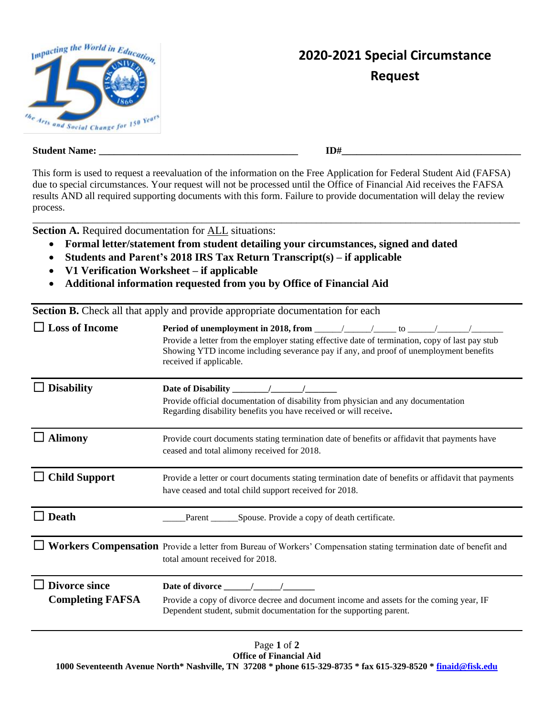

## **2020-2021 Special Circumstance Request**

| <b>Student</b> | тŦ  |
|----------------|-----|
| Name:          | ID‡ |
|                |     |

This form is used to request a reevaluation of the information on the Free Application for Federal Student Aid (FAFSA) due to special circumstances. Your request will not be processed until the Office of Financial Aid receives the FAFSA results AND all required supporting documents with this form. Failure to provide documentation will delay the review process. \_\_\_\_\_\_\_\_\_\_\_\_\_\_\_\_\_\_\_\_\_\_\_\_\_\_\_\_\_\_\_\_\_\_\_\_\_\_\_\_\_\_\_\_\_\_\_\_\_\_\_\_\_\_\_\_\_\_\_\_\_\_\_\_\_\_\_\_\_\_\_\_\_\_\_\_\_\_\_\_\_\_\_\_\_\_\_\_\_\_\_\_\_\_\_\_\_\_

**Section A. Required documentation for ALL situations:** 

- **Formal letter/statement from student detailing your circumstances, signed and dated**
- **Students and Parent's 2018 IRS Tax Return Transcript(s) – if applicable**
- **V1 Verification Worksheet – if applicable**
- **Additional information requested from you by Office of Financial Aid**

**Section B.** Check all that apply and provide appropriate documentation for each

| <b>Loss of Income</b>                           | Period of unemployment in 2018, from $\frac{\sqrt{2}}{2}$ / $\frac{\sqrt{2}}{2}$ to $\frac{\sqrt{2}}{2}$<br>Provide a letter from the employer stating effective date of termination, copy of last pay stub<br>Showing YTD income including severance pay if any, and proof of unemployment benefits<br>received if applicable. |  |  |
|-------------------------------------------------|---------------------------------------------------------------------------------------------------------------------------------------------------------------------------------------------------------------------------------------------------------------------------------------------------------------------------------|--|--|
| <b>Disability</b>                               | Date of Disability<br>Provide official documentation of disability from physician and any documentation<br>Regarding disability benefits you have received or will receive.                                                                                                                                                     |  |  |
| <b>Alimony</b>                                  | Provide court documents stating termination date of benefits or affidavit that payments have<br>ceased and total alimony received for 2018.                                                                                                                                                                                     |  |  |
| $\Box$ Child Support                            | Provide a letter or court documents stating termination date of benefits or affidavit that payments<br>have ceased and total child support received for 2018.                                                                                                                                                                   |  |  |
| <b>Death</b>                                    | Spouse. Provide a copy of death certificate.<br>Parent                                                                                                                                                                                                                                                                          |  |  |
|                                                 | Workers Compensation Provide a letter from Bureau of Workers' Compensation stating termination date of benefit and<br>total amount received for 2018.                                                                                                                                                                           |  |  |
| <b>Divorce since</b><br><b>Completing FAFSA</b> | Date of divorce / /<br>Provide a copy of divorce decree and document income and assets for the coming year, IF<br>Dependent student, submit documentation for the supporting parent.                                                                                                                                            |  |  |